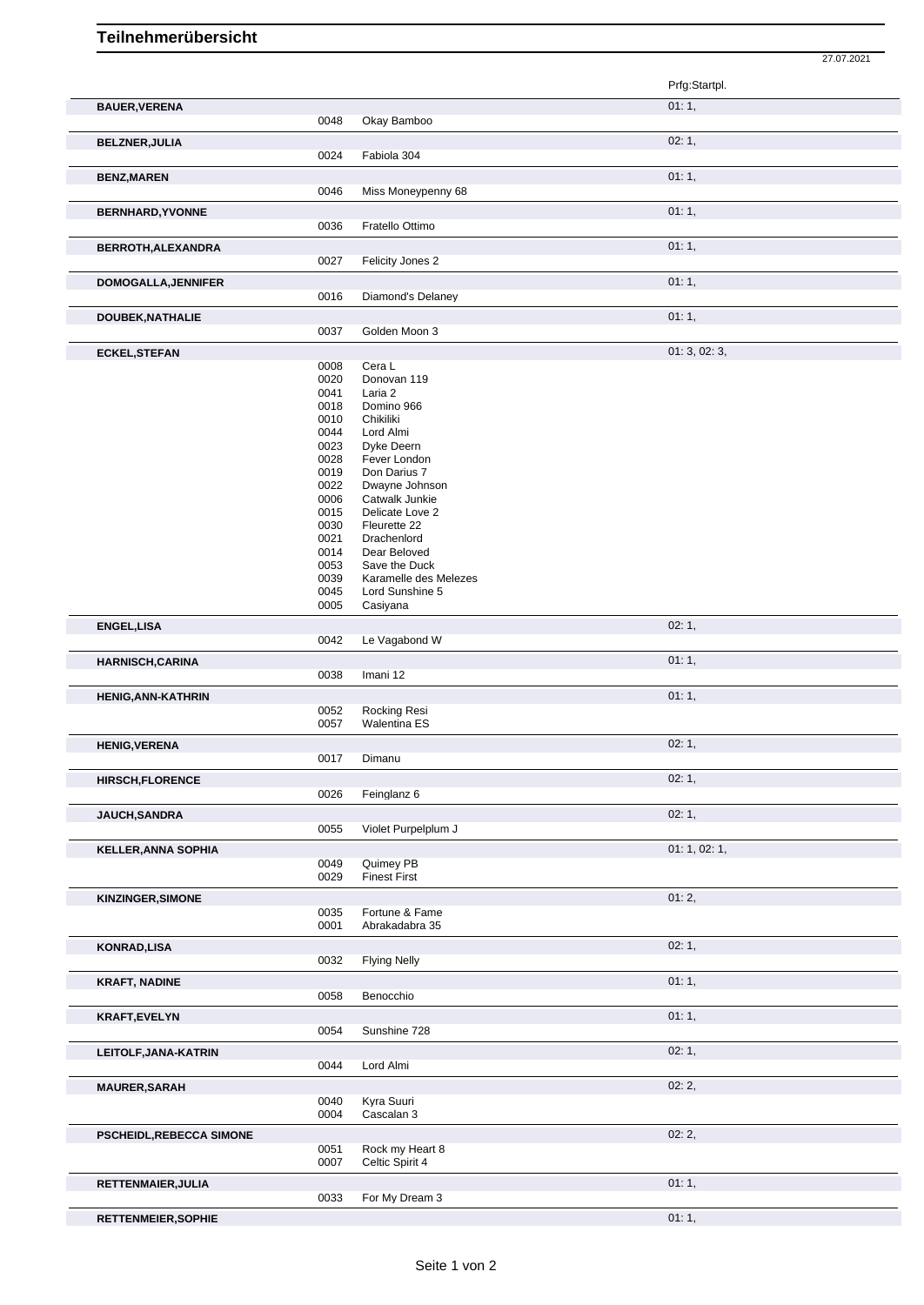## **Teilnehmerübersicht**

27.07.2021

|                                               |              |                                     | Prfg:Startpl. |  |
|-----------------------------------------------|--------------|-------------------------------------|---------------|--|
| <b>BAUER, VERENA</b>                          | 0048         | Okay Bamboo                         | 01:1,         |  |
| <b>BELZNER, JULIA</b>                         |              |                                     | 02:1,         |  |
|                                               | 0024         | Fabiola 304                         |               |  |
| <b>BENZ, MAREN</b><br><b>BERNHARD, YVONNE</b> | 0046         | Miss Moneypenny 68                  | 01:1,         |  |
|                                               |              |                                     | 01:1,         |  |
|                                               | 0036         | Fratello Ottimo                     |               |  |
| BERROTH, ALEXANDRA                            |              |                                     | 01:1,         |  |
|                                               | 0027         | Felicity Jones 2                    |               |  |
| <b>DOMOGALLA, JENNIFER</b>                    | 0016         | Diamond's Delaney                   | 01:1,         |  |
| DOUBEK, NATHALIE                              |              |                                     | 01:1,         |  |
|                                               | 0037         | Golden Moon 3                       |               |  |
| <b>ECKEL, STEFAN</b>                          |              |                                     | 01:3,02:3,    |  |
|                                               | 0008<br>0020 | Cera L<br>Donovan 119               |               |  |
|                                               | 0041         | Laria 2                             |               |  |
|                                               | 0018         | Domino 966                          |               |  |
|                                               | 0010         | Chikiliki                           |               |  |
|                                               | 0044<br>0023 | Lord Almi<br>Dyke Deern             |               |  |
|                                               | 0028         | Fever London                        |               |  |
|                                               | 0019         | Don Darius 7                        |               |  |
|                                               | 0022         | Dwayne Johnson                      |               |  |
|                                               | 0006         | Catwalk Junkie                      |               |  |
|                                               | 0015         | Delicate Love 2                     |               |  |
|                                               | 0030<br>0021 | Fleurette 22<br>Drachenlord         |               |  |
|                                               | 0014         | Dear Beloved                        |               |  |
|                                               | 0053         | Save the Duck                       |               |  |
|                                               | 0039         | Karamelle des Melezes               |               |  |
|                                               | 0045<br>0005 | Lord Sunshine 5<br>Casiyana         |               |  |
| ENGEL, LISA                                   |              |                                     | 02:1,         |  |
|                                               | 0042         | Le Vagabond W                       |               |  |
| <b>HARNISCH, CARINA</b>                       | 0038         | Imani 12                            | 01:1,         |  |
| HENIG, ANN-KATHRIN                            |              |                                     | 01:1,         |  |
|                                               | 0052         | Rocking Resi<br><b>Walentina ES</b> |               |  |
|                                               |              |                                     |               |  |
|                                               | 0057         |                                     |               |  |
| <b>HENIG, VERENA</b>                          | 0017         | Dimanu                              | 02:1,         |  |
|                                               |              |                                     | 02:1,         |  |
| <b>HIRSCH,FLORENCE</b>                        | 0026         | Feinglanz 6                         |               |  |
| JAUCH, SANDRA                                 |              |                                     | 02:1,         |  |
|                                               | 0055         | Violet Purpelplum J                 |               |  |
| <b>KELLER, ANNA SOPHIA</b>                    |              |                                     | 01: 1, 02: 1, |  |
|                                               | 0049         | Quimey PB                           |               |  |
|                                               | 0029         | <b>Finest First</b>                 |               |  |
| KINZINGER, SIMONE                             |              |                                     | 01:2,         |  |
|                                               | 0035<br>0001 | Fortune & Fame<br>Abrakadabra 35    |               |  |
|                                               |              |                                     |               |  |
| <b>KONRAD,LISA</b>                            | 0032         | <b>Flying Nelly</b>                 | 02:1,         |  |
|                                               |              |                                     | 01:1,         |  |
| <b>KRAFT, NADINE</b>                          | 0058         | Benocchio                           |               |  |
| <b>KRAFT,EVELYN</b>                           |              |                                     | 01:1,         |  |
|                                               | 0054         | Sunshine 728                        |               |  |
| LEITOLF, JANA-KATRIN                          |              |                                     | 02:1,         |  |
|                                               | 0044         | Lord Almi                           |               |  |
| <b>MAURER, SARAH</b>                          |              |                                     | 02:2,         |  |
|                                               | 0040         | Kyra Suuri                          |               |  |
|                                               | 0004         | Cascalan 3                          |               |  |
| PSCHEIDL, REBECCA SIMONE                      |              |                                     | 02:2,         |  |
|                                               | 0051<br>0007 | Rock my Heart 8<br>Celtic Spirit 4  |               |  |
| RETTENMAIER, JULIA                            |              |                                     | 01:1,         |  |
|                                               | 0033         | For My Dream 3                      |               |  |